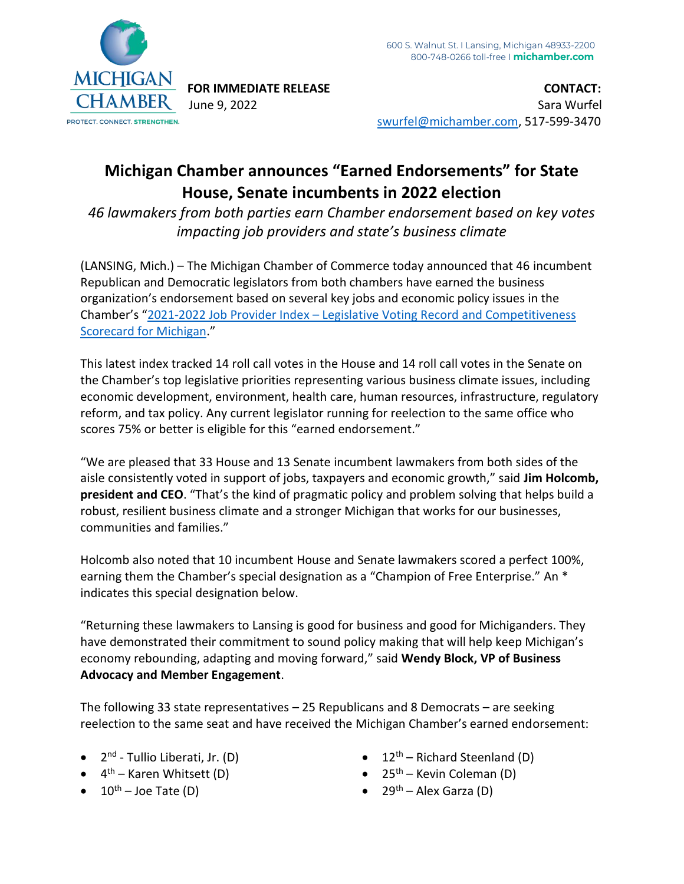

**FOR IMMEDIATE RELEASE CONTACT:** June 9, 2022 Sara Wurfel [swurfel@michamber.com,](mailto:swurfel@michamber.com) 517-599-3470

## **Michigan Chamber announces "Earned Endorsements" for State House, Senate incumbents in 2022 election**

*46 lawmakers from both parties earn Chamber endorsement based on key votes impacting job providers and state's business climate*

(LANSING, Mich.) – The Michigan Chamber of Commerce today announced that 46 incumbent Republican and Democratic legislators from both chambers have earned the business organization's endorsement based on several key jobs and economic policy issues in the Chamber's "2021-2022 Job Provider Index – [Legislative Voting Record and Competitiveness](https://bit.ly/3mKcuN7)  [Scorecard for Michigan](https://bit.ly/3mKcuN7)."

This latest index tracked 14 roll call votes in the House and 14 roll call votes in the Senate on the Chamber's top legislative priorities representing various business climate issues, including economic development, environment, health care, human resources, infrastructure, regulatory reform, and tax policy. Any current legislator running for reelection to the same office who scores 75% or better is eligible for this "earned endorsement."

"We are pleased that 33 House and 13 Senate incumbent lawmakers from both sides of the aisle consistently voted in support of jobs, taxpayers and economic growth," said **Jim Holcomb, president and CEO**. "That's the kind of pragmatic policy and problem solving that helps build a robust, resilient business climate and a stronger Michigan that works for our businesses, communities and families."

Holcomb also noted that 10 incumbent House and Senate lawmakers scored a perfect 100%, earning them the Chamber's special designation as a "Champion of Free Enterprise." An \* indicates this special designation below.

"Returning these lawmakers to Lansing is good for business and good for Michiganders. They have demonstrated their commitment to sound policy making that will help keep Michigan's economy rebounding, adapting and moving forward," said **Wendy Block, VP of Business Advocacy and Member Engagement**.

The following 33 state representatives – 25 Republicans and 8 Democrats – are seeking reelection to the same seat and have received the Michigan Chamber's earned endorsement:

- 2<sup>nd</sup> Tullio Liberati, Jr. (D)
- 4<sup>th</sup> Karen Whitsett (D)
- $10^{\text{th}}$  Joe Tate (D)
- $12<sup>th</sup>$  Richard Steenland (D)
- $25<sup>th</sup>$  Kevin Coleman (D)
- $29<sup>th</sup>$  Alex Garza (D)